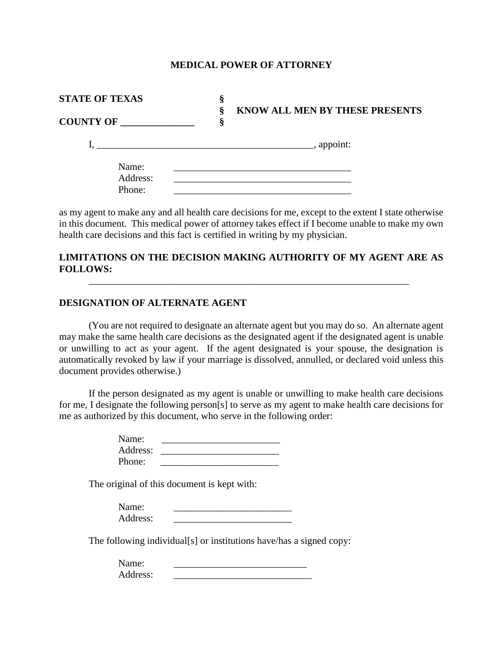### **MEDICAL POWER OF ATTORNEY**

| <b>STATE OF TEXAS</b>       |        | KNOW ALL MEN BY THESE PRESENTS |
|-----------------------------|--------|--------------------------------|
| COUNTY OF                   | ş<br>ş |                                |
|                             |        | $\overline{a}$ , appoint:      |
| Name:<br>Address:<br>Phone: |        |                                |

as my agent to make any and all health care decisions for me, except to the extent I state otherwise in this document. This medical power of attorney takes effect if I become unable to make my own health care decisions and this fact is certified in writing by my physician.

# **LIMITATIONS ON THE DECISION MAKING AUTHORITY OF MY AGENT ARE AS FOLLOWS:**

\_\_\_\_\_\_\_\_\_\_\_\_\_\_\_\_\_\_\_\_\_\_\_\_\_\_\_\_\_\_\_\_\_\_\_\_\_\_\_\_\_\_\_\_\_\_\_\_\_\_\_\_\_\_\_\_\_\_\_\_\_\_\_\_\_

### **DESIGNATION OF ALTERNATE AGENT**

(You are not required to designate an alternate agent but you may do so. An alternate agent may make the same health care decisions as the designated agent if the designated agent is unable or unwilling to act as your agent. If the agent designated is your spouse, the designation is automatically revoked by law if your marriage is dissolved, annulled, or declared void unless this document provides otherwise.)

If the person designated as my agent is unable or unwilling to make health care decisions for me, I designate the following person[s] to serve as my agent to make health care decisions for me as authorized by this document, who serve in the following order:

| Name:    |  |
|----------|--|
| Address: |  |
| Phone:   |  |

The original of this document is kept with:

| Name:    |  |
|----------|--|
| Address: |  |

The following individual[s] or institutions have/has a signed copy:

Name: Address: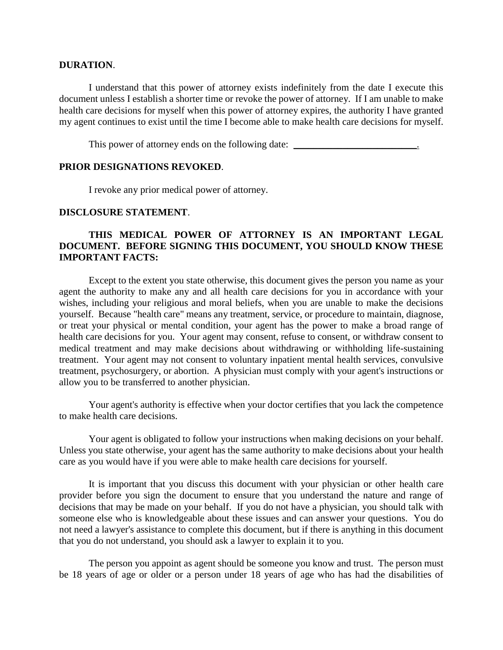#### **DURATION**.

I understand that this power of attorney exists indefinitely from the date I execute this document unless I establish a shorter time or revoke the power of attorney. If I am unable to make health care decisions for myself when this power of attorney expires, the authority I have granted my agent continues to exist until the time I become able to make health care decisions for myself.

This power of attorney ends on the following date: \_\_\_\_\_\_\_\_\_\_\_\_\_\_\_\_\_\_\_\_\_\_\_\_\_\_\_\_\_\_

### **PRIOR DESIGNATIONS REVOKED**.

I revoke any prior medical power of attorney.

### **DISCLOSURE STATEMENT**.

# **THIS MEDICAL POWER OF ATTORNEY IS AN IMPORTANT LEGAL DOCUMENT. BEFORE SIGNING THIS DOCUMENT, YOU SHOULD KNOW THESE IMPORTANT FACTS:**

Except to the extent you state otherwise, this document gives the person you name as your agent the authority to make any and all health care decisions for you in accordance with your wishes, including your religious and moral beliefs, when you are unable to make the decisions yourself. Because "health care" means any treatment, service, or procedure to maintain, diagnose, or treat your physical or mental condition, your agent has the power to make a broad range of health care decisions for you. Your agent may consent, refuse to consent, or withdraw consent to medical treatment and may make decisions about withdrawing or withholding life-sustaining treatment. Your agent may not consent to voluntary inpatient mental health services, convulsive treatment, psychosurgery, or abortion. A physician must comply with your agent's instructions or allow you to be transferred to another physician.

Your agent's authority is effective when your doctor certifies that you lack the competence to make health care decisions.

Your agent is obligated to follow your instructions when making decisions on your behalf. Unless you state otherwise, your agent has the same authority to make decisions about your health care as you would have if you were able to make health care decisions for yourself.

It is important that you discuss this document with your physician or other health care provider before you sign the document to ensure that you understand the nature and range of decisions that may be made on your behalf. If you do not have a physician, you should talk with someone else who is knowledgeable about these issues and can answer your questions. You do not need a lawyer's assistance to complete this document, but if there is anything in this document that you do not understand, you should ask a lawyer to explain it to you.

The person you appoint as agent should be someone you know and trust. The person must be 18 years of age or older or a person under 18 years of age who has had the disabilities of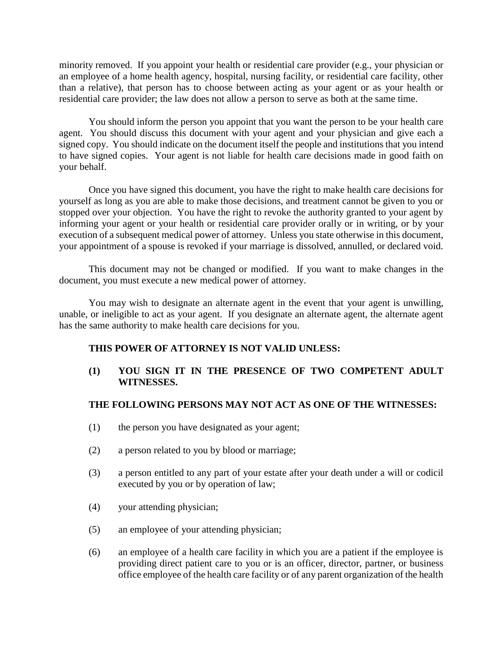minority removed. If you appoint your health or residential care provider (e.g., your physician or an employee of a home health agency, hospital, nursing facility, or residential care facility, other than a relative), that person has to choose between acting as your agent or as your health or residential care provider; the law does not allow a person to serve as both at the same time.

You should inform the person you appoint that you want the person to be your health care agent. You should discuss this document with your agent and your physician and give each a signed copy. You should indicate on the document itself the people and institutions that you intend to have signed copies. Your agent is not liable for health care decisions made in good faith on your behalf.

Once you have signed this document, you have the right to make health care decisions for yourself as long as you are able to make those decisions, and treatment cannot be given to you or stopped over your objection. You have the right to revoke the authority granted to your agent by informing your agent or your health or residential care provider orally or in writing, or by your execution of a subsequent medical power of attorney. Unless you state otherwise in this document, your appointment of a spouse is revoked if your marriage is dissolved, annulled, or declared void.

This document may not be changed or modified. If you want to make changes in the document, you must execute a new medical power of attorney.

You may wish to designate an alternate agent in the event that your agent is unwilling, unable, or ineligible to act as your agent. If you designate an alternate agent, the alternate agent has the same authority to make health care decisions for you.

## **THIS POWER OF ATTORNEY IS NOT VALID UNLESS:**

# **(1) YOU SIGN IT IN THE PRESENCE OF TWO COMPETENT ADULT WITNESSES.**

## **THE FOLLOWING PERSONS MAY NOT ACT AS ONE OF THE WITNESSES:**

- (1) the person you have designated as your agent;
- (2) a person related to you by blood or marriage;
- (3) a person entitled to any part of your estate after your death under a will or codicil executed by you or by operation of law;
- (4) your attending physician;
- (5) an employee of your attending physician;
- (6) an employee of a health care facility in which you are a patient if the employee is providing direct patient care to you or is an officer, director, partner, or business office employee of the health care facility or of any parent organization of the health